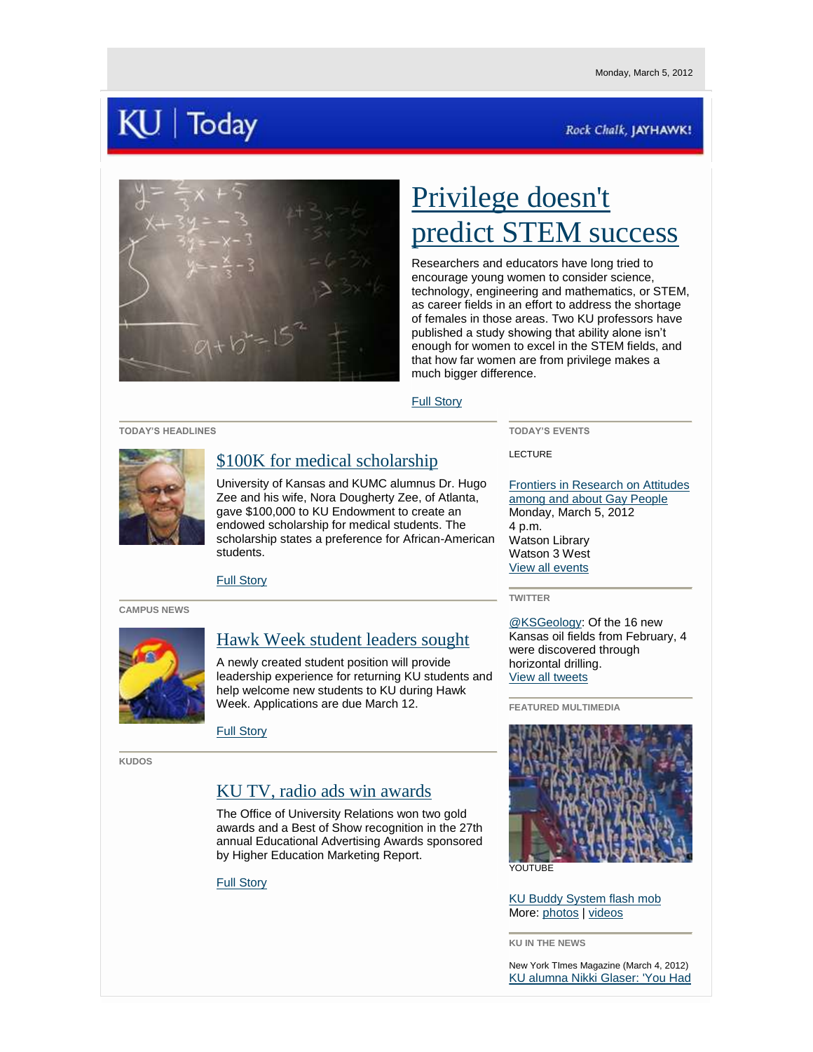# | Today

## Rock Chalk, JAYHAWK!



# [Privilege doesn't](http://www.news.ku.edu/2012/march/5/stem.shtml)  [predict STEM success](http://www.news.ku.edu/2012/march/5/stem.shtml)

Researchers and educators have long tried to encourage young women to consider science, technology, engineering and mathematics, or STEM, as career fields in an effort to address the shortage of females in those areas. Two KU professors have published a study showing that ability alone isn't enough for women to excel in the STEM fields, and that how far women are from privilege makes a much bigger difference.

### [Full Story](http://www.news.ku.edu/2012/march/5/stem.shtml)

#### **TODAY'S HEADLINES**



# [\\$100K for medical scholarship](http://www.news.ku.edu/2012/march/5/zee.shtml)

University of Kansas and KUMC alumnus Dr. Hugo Zee and his wife, Nora Dougherty Zee, of Atlanta, gave \$100,000 to KU Endowment to create an endowed scholarship for medical students. The scholarship states a preference for African-American students.

[Full Story](http://www.news.ku.edu/2012/march/5/zee.shtml)

#### **CAMPUS NEWS**



## [Hawk Week student leaders sought](http://www2.ku.edu/~kunews/cgi-bin/plans-for-hawk-week-2012-include-new-hawk-week-leader-position)

A newly created student position will provide leadership experience for returning KU students and help welcome new students to KU during Hawk Week. Applications are due March 12.

[Full Story](http://www2.ku.edu/~kunews/cgi-bin/plans-for-hawk-week-2012-include-new-hawk-week-leader-position)

**KUDOS**

# [KU TV, radio ads win awards](http://www2.ku.edu/~kunews/cgi-bin/ku-tv-advertisement-wins-national-best-of-show-and-gold-awards)

The Office of University Relations won two gold awards and a Best of Show recognition in the 27th annual Educational Advertising Awards sponsored by Higher Education Marketing Report.

### [Full Story](http://www2.ku.edu/~kunews/cgi-bin/ku-tv-advertisement-wins-national-best-of-show-and-gold-awards)

**TODAY'S EVENTS** LECTURE

[Frontiers in Research on Attitudes](http://calendar.ku.edu/index.php?option=eventview&ce_id=43997)  [among and about Gay People](http://calendar.ku.edu/index.php?option=eventview&ce_id=43997) Monday, March 5, 2012 4 p.m. Watson Library Watson 3 West [View all events](http://calendar.ku.edu/)

Kansas oil fields from February, 4 [View all tweets](http://www.twitter.com/kunews) 



[KU Buddy System flash mob](http://www.youtube.com/watch?v=p7LetmGC9wc) More: [photos](http://www.flickr.com/universityofkansas/) | [videos](http://www.youtube.com/ku)

**KU IN THE NEWS**

New York TImes Magazine (March 4, 2012) [KU alumna Nikki Glaser: 'You Had](http://www.nytimes.com/2012/03/04/magazine/nikki-glaser-sara-schaefer.html?_r=2&ref=magazine) 

**TWITTER**

[@KSGeology:](http://www.twitter.com/ksgeology) Of the 16 new were discovered through horizontal drilling.

**FEATURED MULTIMEDIA**